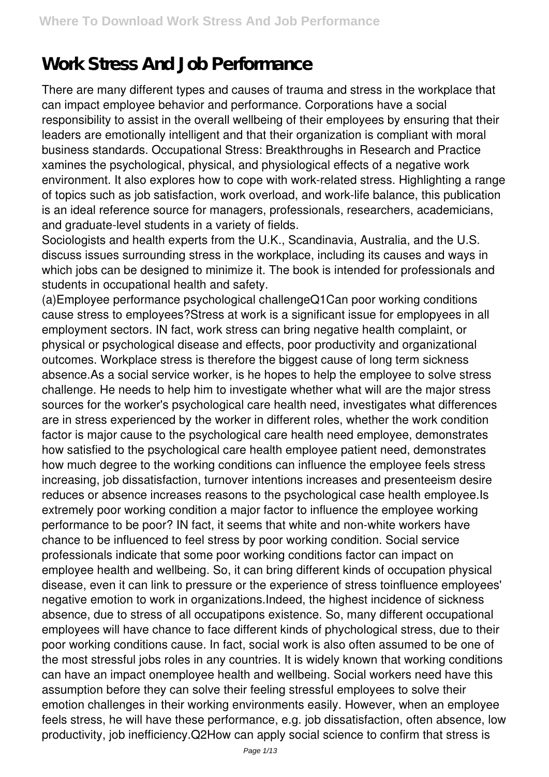# **Work Stress And Job Performance**

There are many different types and causes of trauma and stress in the workplace that can impact employee behavior and performance. Corporations have a social responsibility to assist in the overall wellbeing of their employees by ensuring that their leaders are emotionally intelligent and that their organization is compliant with moral business standards. Occupational Stress: Breakthroughs in Research and Practice xamines the psychological, physical, and physiological effects of a negative work environment. It also explores how to cope with work-related stress. Highlighting a range of topics such as job satisfaction, work overload, and work-life balance, this publication is an ideal reference source for managers, professionals, researchers, academicians, and graduate-level students in a variety of fields.

Sociologists and health experts from the U.K., Scandinavia, Australia, and the U.S. discuss issues surrounding stress in the workplace, including its causes and ways in which jobs can be designed to minimize it. The book is intended for professionals and students in occupational health and safety.

(a)Employee performance psychological challengeQ1Can poor working conditions cause stress to employees?Stress at work is a significant issue for emplopyees in all employment sectors. IN fact, work stress can bring negative health complaint, or physical or psychological disease and effects, poor productivity and organizational outcomes. Workplace stress is therefore the biggest cause of long term sickness absence.As a social service worker, is he hopes to help the employee to solve stress challenge. He needs to help him to investigate whether what will are the major stress sources for the worker's psychological care health need, investigates what differences are in stress experienced by the worker in different roles, whether the work condition factor is major cause to the psychological care health need employee, demonstrates how satisfied to the psychological care health employee patient need, demonstrates how much degree to the working conditions can influence the employee feels stress increasing, job dissatisfaction, turnover intentions increases and presenteeism desire reduces or absence increases reasons to the psychological case health employee.Is extremely poor working condition a major factor to influence the employee working performance to be poor? IN fact, it seems that white and non-white workers have chance to be influenced to feel stress by poor working condition. Social service professionals indicate that some poor working conditions factor can impact on employee health and wellbeing. So, it can bring different kinds of occupation physical disease, even it can link to pressure or the experience of stress toinfluence employees' negative emotion to work in organizations.Indeed, the highest incidence of sickness absence, due to stress of all occupatipons existence. So, many different occupational employees will have chance to face different kinds of phychological stress, due to their poor working conditions cause. In fact, social work is also often assumed to be one of the most stressful jobs roles in any countries. It is widely known that working conditions can have an impact onemployee health and wellbeing. Social workers need have this assumption before they can solve their feeling stressful employees to solve their emotion challenges in their working environments easily. However, when an employee feels stress, he will have these performance, e.g. job dissatisfaction, often absence, low productivity, job inefficiency.Q2How can apply social science to confirm that stress is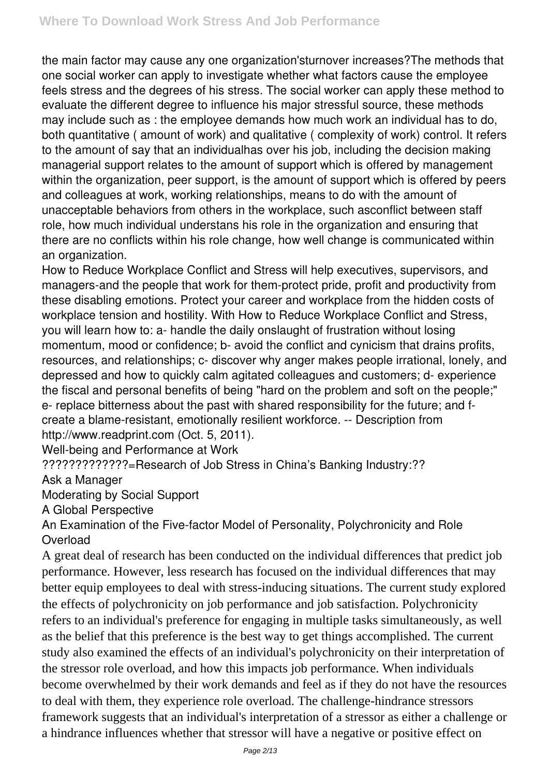the main factor may cause any one organization'sturnover increases?The methods that one social worker can apply to investigate whether what factors cause the employee feels stress and the degrees of his stress. The social worker can apply these method to evaluate the different degree to influence his major stressful source, these methods may include such as : the employee demands how much work an individual has to do, both quantitative ( amount of work) and qualitative ( complexity of work) control. It refers to the amount of say that an individualhas over his job, including the decision making managerial support relates to the amount of support which is offered by management within the organization, peer support, is the amount of support which is offered by peers and colleagues at work, working relationships, means to do with the amount of unacceptable behaviors from others in the workplace, such asconflict between staff role, how much individual understans his role in the organization and ensuring that there are no conflicts within his role change, how well change is communicated within an organization.

How to Reduce Workplace Conflict and Stress will help executives, supervisors, and managers-and the people that work for them-protect pride, profit and productivity from these disabling emotions. Protect your career and workplace from the hidden costs of workplace tension and hostility. With How to Reduce Workplace Conflict and Stress, you will learn how to: a- handle the daily onslaught of frustration without losing momentum, mood or confidence; b- avoid the conflict and cynicism that drains profits, resources, and relationships; c- discover why anger makes people irrational, lonely, and depressed and how to quickly calm agitated colleagues and customers; d- experience the fiscal and personal benefits of being "hard on the problem and soft on the people;" e- replace bitterness about the past with shared responsibility for the future; and fcreate a blame-resistant, emotionally resilient workforce. -- Description from http://www.readprint.com (Oct. 5, 2011).

Well-being and Performance at Work

?????????????=Research of Job Stress in China's Banking Industry:??

Ask a Manager

Moderating by Social Support

A Global Perspective

An Examination of the Five-factor Model of Personality, Polychronicity and Role **Overload** 

A great deal of research has been conducted on the individual differences that predict job performance. However, less research has focused on the individual differences that may better equip employees to deal with stress-inducing situations. The current study explored the effects of polychronicity on job performance and job satisfaction. Polychronicity refers to an individual's preference for engaging in multiple tasks simultaneously, as well as the belief that this preference is the best way to get things accomplished. The current study also examined the effects of an individual's polychronicity on their interpretation of the stressor role overload, and how this impacts job performance. When individuals become overwhelmed by their work demands and feel as if they do not have the resources to deal with them, they experience role overload. The challenge-hindrance stressors framework suggests that an individual's interpretation of a stressor as either a challenge or a hindrance influences whether that stressor will have a negative or positive effect on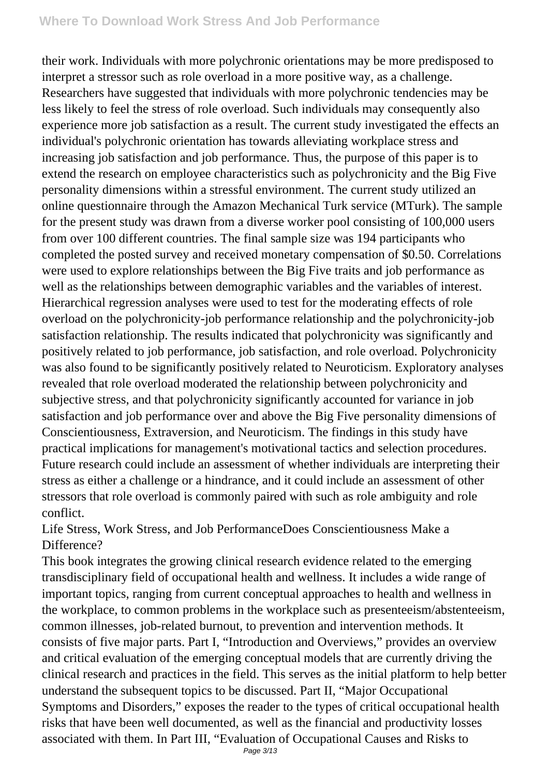## **Where To Download Work Stress And Job Performance**

their work. Individuals with more polychronic orientations may be more predisposed to interpret a stressor such as role overload in a more positive way, as a challenge. Researchers have suggested that individuals with more polychronic tendencies may be less likely to feel the stress of role overload. Such individuals may consequently also experience more job satisfaction as a result. The current study investigated the effects an individual's polychronic orientation has towards alleviating workplace stress and increasing job satisfaction and job performance. Thus, the purpose of this paper is to extend the research on employee characteristics such as polychronicity and the Big Five personality dimensions within a stressful environment. The current study utilized an online questionnaire through the Amazon Mechanical Turk service (MTurk). The sample for the present study was drawn from a diverse worker pool consisting of 100,000 users from over 100 different countries. The final sample size was 194 participants who completed the posted survey and received monetary compensation of \$0.50. Correlations were used to explore relationships between the Big Five traits and job performance as well as the relationships between demographic variables and the variables of interest. Hierarchical regression analyses were used to test for the moderating effects of role overload on the polychronicity-job performance relationship and the polychronicity-job satisfaction relationship. The results indicated that polychronicity was significantly and positively related to job performance, job satisfaction, and role overload. Polychronicity was also found to be significantly positively related to Neuroticism. Exploratory analyses revealed that role overload moderated the relationship between polychronicity and subjective stress, and that polychronicity significantly accounted for variance in job satisfaction and job performance over and above the Big Five personality dimensions of Conscientiousness, Extraversion, and Neuroticism. The findings in this study have practical implications for management's motivational tactics and selection procedures. Future research could include an assessment of whether individuals are interpreting their stress as either a challenge or a hindrance, and it could include an assessment of other stressors that role overload is commonly paired with such as role ambiguity and role conflict.

Life Stress, Work Stress, and Job PerformanceDoes Conscientiousness Make a Difference?

This book integrates the growing clinical research evidence related to the emerging transdisciplinary field of occupational health and wellness. It includes a wide range of important topics, ranging from current conceptual approaches to health and wellness in the workplace, to common problems in the workplace such as presenteeism/abstenteeism, common illnesses, job-related burnout, to prevention and intervention methods. It consists of five major parts. Part I, "Introduction and Overviews," provides an overview and critical evaluation of the emerging conceptual models that are currently driving the clinical research and practices in the field. This serves as the initial platform to help better understand the subsequent topics to be discussed. Part II, "Major Occupational Symptoms and Disorders," exposes the reader to the types of critical occupational health risks that have been well documented, as well as the financial and productivity losses associated with them. In Part III, "Evaluation of Occupational Causes and Risks to Page 3/13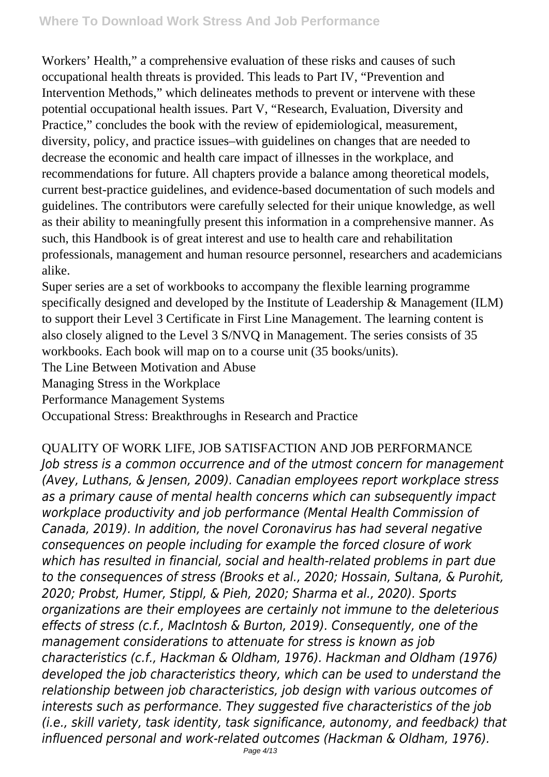Workers' Health," a comprehensive evaluation of these risks and causes of such occupational health threats is provided. This leads to Part IV, "Prevention and Intervention Methods," which delineates methods to prevent or intervene with these potential occupational health issues. Part V, "Research, Evaluation, Diversity and Practice," concludes the book with the review of epidemiological, measurement, diversity, policy, and practice issues–with guidelines on changes that are needed to decrease the economic and health care impact of illnesses in the workplace, and recommendations for future. All chapters provide a balance among theoretical models, current best-practice guidelines, and evidence-based documentation of such models and guidelines. The contributors were carefully selected for their unique knowledge, as well as their ability to meaningfully present this information in a comprehensive manner. As such, this Handbook is of great interest and use to health care and rehabilitation professionals, management and human resource personnel, researchers and academicians alike.

Super series are a set of workbooks to accompany the flexible learning programme specifically designed and developed by the Institute of Leadership & Management (ILM) to support their Level 3 Certificate in First Line Management. The learning content is also closely aligned to the Level 3 S/NVQ in Management. The series consists of 35 workbooks. Each book will map on to a course unit (35 books/units).

The Line Between Motivation and Abuse

Managing Stress in the Workplace

Performance Management Systems

Occupational Stress: Breakthroughs in Research and Practice

QUALITY OF WORK LIFE, JOB SATISFACTION AND JOB PERFORMANCE *Job stress is a common occurrence and of the utmost concern for management (Avey, Luthans, & Jensen, 2009). Canadian employees report workplace stress as a primary cause of mental health concerns which can subsequently impact workplace productivity and job performance (Mental Health Commission of Canada, 2019). In addition, the novel Coronavirus has had several negative consequences on people including for example the forced closure of work which has resulted in financial, social and health-related problems in part due to the consequences of stress (Brooks et al., 2020; Hossain, Sultana, & Purohit, 2020; Probst, Humer, Stippl, & Pieh, 2020; Sharma et al., 2020). Sports organizations are their employees are certainly not immune to the deleterious effects of stress (c.f., MacIntosh & Burton, 2019). Consequently, one of the management considerations to attenuate for stress is known as job characteristics (c.f., Hackman & Oldham, 1976). Hackman and Oldham (1976) developed the job characteristics theory, which can be used to understand the relationship between job characteristics, job design with various outcomes of interests such as performance. They suggested five characteristics of the job (i.e., skill variety, task identity, task significance, autonomy, and feedback) that influenced personal and work-related outcomes (Hackman & Oldham, 1976).*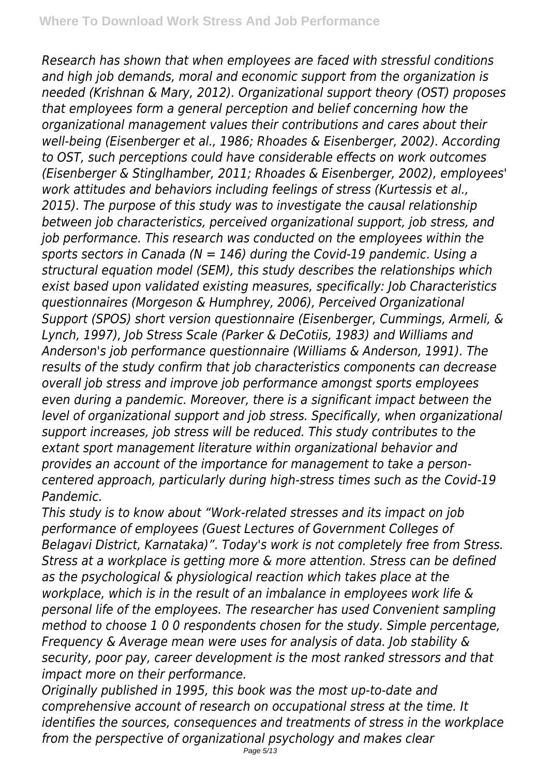*Research has shown that when employees are faced with stressful conditions and high job demands, moral and economic support from the organization is needed (Krishnan & Mary, 2012). Organizational support theory (OST) proposes that employees form a general perception and belief concerning how the organizational management values their contributions and cares about their well-being (Eisenberger et al., 1986; Rhoades & Eisenberger, 2002). According to OST, such perceptions could have considerable effects on work outcomes (Eisenberger & Stinglhamber, 2011; Rhoades & Eisenberger, 2002), employees' work attitudes and behaviors including feelings of stress (Kurtessis et al., 2015). The purpose of this study was to investigate the causal relationship between job characteristics, perceived organizational support, job stress, and job performance. This research was conducted on the employees within the sports sectors in Canada (N = 146) during the Covid-19 pandemic. Using a structural equation model (SEM), this study describes the relationships which exist based upon validated existing measures, specifically: Job Characteristics questionnaires (Morgeson & Humphrey, 2006), Perceived Organizational Support (SPOS) short version questionnaire (Eisenberger, Cummings, Armeli, & Lynch, 1997), Job Stress Scale (Parker & DeCotiis, 1983) and Williams and Anderson's job performance questionnaire (Williams & Anderson, 1991). The results of the study confirm that job characteristics components can decrease overall job stress and improve job performance amongst sports employees even during a pandemic. Moreover, there is a significant impact between the level of organizational support and job stress. Specifically, when organizational support increases, job stress will be reduced. This study contributes to the extant sport management literature within organizational behavior and provides an account of the importance for management to take a personcentered approach, particularly during high-stress times such as the Covid-19 Pandemic.*

*This study is to know about "Work-related stresses and its impact on job performance of employees (Guest Lectures of Government Colleges of Belagavi District, Karnataka)". Today's work is not completely free from Stress. Stress at a workplace is getting more & more attention. Stress can be defined as the psychological & physiological reaction which takes place at the workplace, which is in the result of an imbalance in employees work life & personal life of the employees. The researcher has used Convenient sampling method to choose 1 0 0 respondents chosen for the study. Simple percentage, Frequency & Average mean were uses for analysis of data. Job stability & security, poor pay, career development is the most ranked stressors and that impact more on their performance.*

*Originally published in 1995, this book was the most up-to-date and comprehensive account of research on occupational stress at the time. It identifies the sources, consequences and treatments of stress in the workplace from the perspective of organizational psychology and makes clear*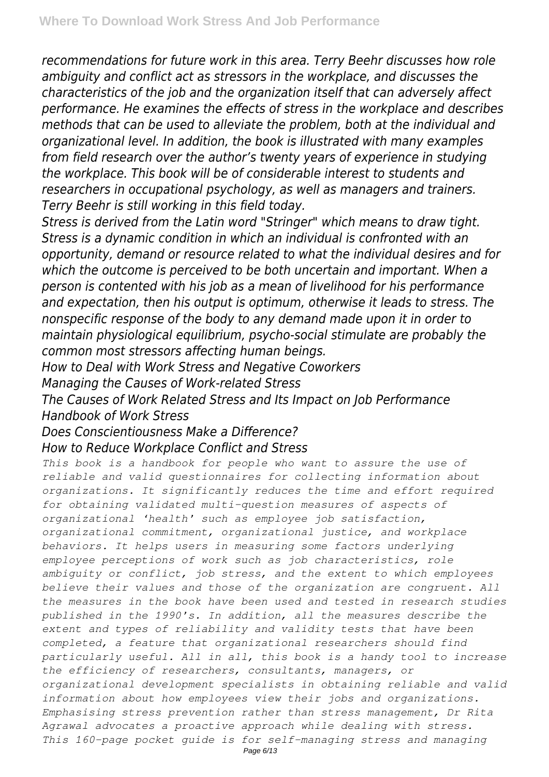*recommendations for future work in this area. Terry Beehr discusses how role ambiguity and conflict act as stressors in the workplace, and discusses the characteristics of the job and the organization itself that can adversely affect performance. He examines the effects of stress in the workplace and describes methods that can be used to alleviate the problem, both at the individual and organizational level. In addition, the book is illustrated with many examples from field research over the author's twenty years of experience in studying the workplace. This book will be of considerable interest to students and researchers in occupational psychology, as well as managers and trainers. Terry Beehr is still working in this field today.*

*Stress is derived from the Latin word "Stringer" which means to draw tight. Stress is a dynamic condition in which an individual is confronted with an opportunity, demand or resource related to what the individual desires and for which the outcome is perceived to be both uncertain and important. When a person is contented with his job as a mean of livelihood for his performance and expectation, then his output is optimum, otherwise it leads to stress. The nonspecific response of the body to any demand made upon it in order to maintain physiological equilibrium, psycho-social stimulate are probably the common most stressors affecting human beings.*

*How to Deal with Work Stress and Negative Coworkers*

*Managing the Causes of Work-related Stress*

*The Causes of Work Related Stress and Its Impact on Job Performance Handbook of Work Stress*

## *Does Conscientiousness Make a Difference? How to Reduce Workplace Conflict and Stress*

*This book is a handbook for people who want to assure the use of reliable and valid questionnaires for collecting information about organizations. It significantly reduces the time and effort required for obtaining validated multi-question measures of aspects of organizational 'health' such as employee job satisfaction, organizational commitment, organizational justice, and workplace behaviors. It helps users in measuring some factors underlying employee perceptions of work such as job characteristics, role ambiguity or conflict, job stress, and the extent to which employees believe their values and those of the organization are congruent. All the measures in the book have been used and tested in research studies published in the 1990's. In addition, all the measures describe the extent and types of reliability and validity tests that have been completed, a feature that organizational researchers should find particularly useful. All in all, this book is a handy tool to increase the efficiency of researchers, consultants, managers, or organizational development specialists in obtaining reliable and valid information about how employees view their jobs and organizations. Emphasising stress prevention rather than stress management, Dr Rita Agrawal advocates a proactive approach while dealing with stress. This 160-page pocket guide is for self-managing stress and managing*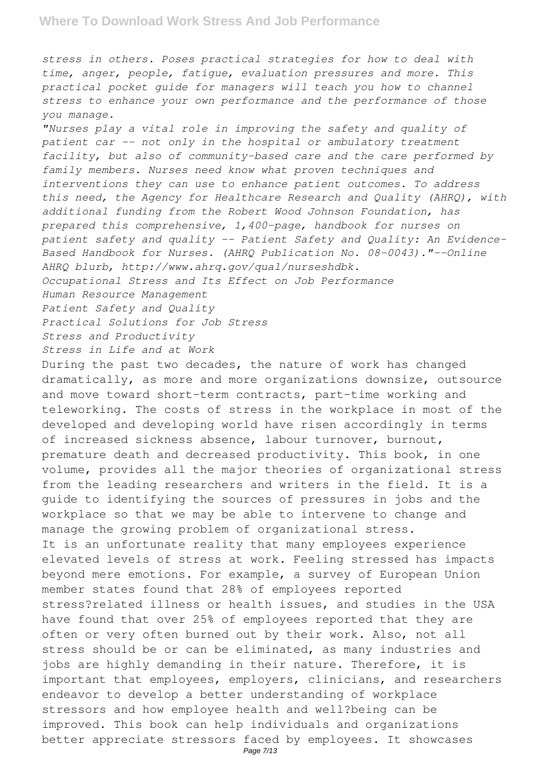*stress in others. Poses practical strategies for how to deal with time, anger, people, fatigue, evaluation pressures and more. This practical pocket guide for managers will teach you how to channel stress to enhance your own performance and the performance of those you manage.*

*"Nurses play a vital role in improving the safety and quality of patient car -- not only in the hospital or ambulatory treatment facility, but also of community-based care and the care performed by family members. Nurses need know what proven techniques and interventions they can use to enhance patient outcomes. To address this need, the Agency for Healthcare Research and Quality (AHRQ), with additional funding from the Robert Wood Johnson Foundation, has prepared this comprehensive, 1,400-page, handbook for nurses on patient safety and quality -- Patient Safety and Quality: An Evidence-Based Handbook for Nurses. (AHRQ Publication No. 08-0043)."--Online AHRQ blurb, http://www.ahrq.gov/qual/nurseshdbk.*

*Occupational Stress and Its Effect on Job Performance*

*Human Resource Management*

*Patient Safety and Quality*

*Practical Solutions for Job Stress*

*Stress and Productivity*

*Stress in Life and at Work*

During the past two decades, the nature of work has changed dramatically, as more and more organizations downsize, outsource and move toward short-term contracts, part-time working and teleworking. The costs of stress in the workplace in most of the developed and developing world have risen accordingly in terms of increased sickness absence, labour turnover, burnout, premature death and decreased productivity. This book, in one volume, provides all the major theories of organizational stress from the leading researchers and writers in the field. It is a guide to identifying the sources of pressures in jobs and the workplace so that we may be able to intervene to change and manage the growing problem of organizational stress. It is an unfortunate reality that many employees experience elevated levels of stress at work. Feeling stressed has impacts beyond mere emotions. For example, a survey of European Union member states found that 28% of employees reported stress?related illness or health issues, and studies in the USA have found that over 25% of employees reported that they are often or very often burned out by their work. Also, not all stress should be or can be eliminated, as many industries and jobs are highly demanding in their nature. Therefore, it is important that employees, employers, clinicians, and researchers endeavor to develop a better understanding of workplace stressors and how employee health and well?being can be improved. This book can help individuals and organizations better appreciate stressors faced by employees. It showcases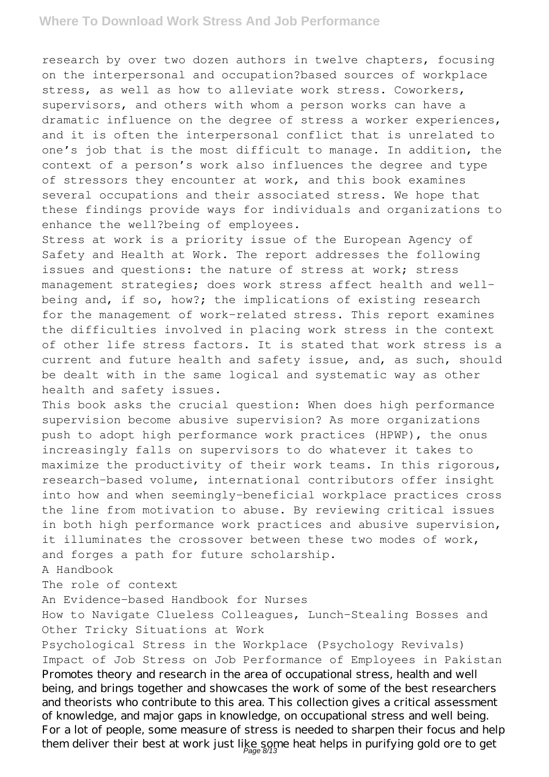### **Where To Download Work Stress And Job Performance**

research by over two dozen authors in twelve chapters, focusing on the interpersonal and occupation?based sources of workplace stress, as well as how to alleviate work stress. Coworkers, supervisors, and others with whom a person works can have a dramatic influence on the degree of stress a worker experiences, and it is often the interpersonal conflict that is unrelated to one's job that is the most difficult to manage. In addition, the context of a person's work also influences the degree and type of stressors they encounter at work, and this book examines several occupations and their associated stress. We hope that these findings provide ways for individuals and organizations to enhance the well?being of employees.

Stress at work is a priority issue of the European Agency of Safety and Health at Work. The report addresses the following issues and questions: the nature of stress at work; stress management strategies; does work stress affect health and wellbeing and, if so, how?; the implications of existing research for the management of work-related stress. This report examines the difficulties involved in placing work stress in the context of other life stress factors. It is stated that work stress is a current and future health and safety issue, and, as such, should be dealt with in the same logical and systematic way as other health and safety issues.

This book asks the crucial question: When does high performance supervision become abusive supervision? As more organizations push to adopt high performance work practices (HPWP), the onus increasingly falls on supervisors to do whatever it takes to maximize the productivity of their work teams. In this rigorous, research-based volume, international contributors offer insight into how and when seemingly-beneficial workplace practices cross the line from motivation to abuse. By reviewing critical issues in both high performance work practices and abusive supervision, it illuminates the crossover between these two modes of work, and forges a path for future scholarship.

#### A Handbook

The role of context

An Evidence-based Handbook for Nurses

How to Navigate Clueless Colleagues, Lunch-Stealing Bosses and Other Tricky Situations at Work

Psychological Stress in the Workplace (Psychology Revivals) Impact of Job Stress on Job Performance of Employees in Pakistan Promotes theory and research in the area of occupational stress, health and well being, and brings together and showcases the work of some of the best researchers and theorists who contribute to this area. This collection gives a critical assessment of knowledge, and major gaps in knowledge, on occupational stress and well being. For a lot of people, some measure of stress is needed to sharpen their focus and help them deliver their best at work just like some heat helps in purifying gold ore to get Page 8/13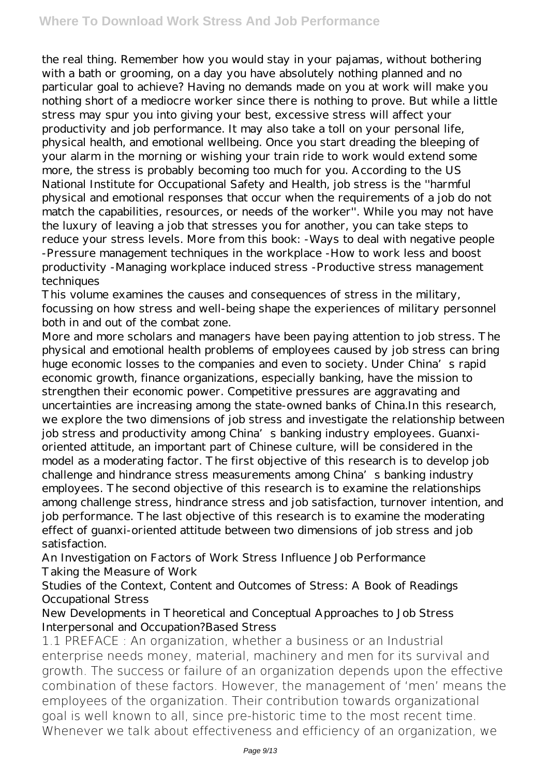the real thing. Remember how you would stay in your pajamas, without bothering with a bath or grooming, on a day you have absolutely nothing planned and no particular goal to achieve? Having no demands made on you at work will make you nothing short of a mediocre worker since there is nothing to prove. But while a little stress may spur you into giving your best, excessive stress will affect your productivity and job performance. It may also take a toll on your personal life, physical health, and emotional wellbeing. Once you start dreading the bleeping of your alarm in the morning or wishing your train ride to work would extend some more, the stress is probably becoming too much for you. According to the US National Institute for Occupational Safety and Health, job stress is the ''harmful physical and emotional responses that occur when the requirements of a job do not match the capabilities, resources, or needs of the worker''. While you may not have the luxury of leaving a job that stresses you for another, you can take steps to reduce your stress levels. More from this book: -Ways to deal with negative people -Pressure management techniques in the workplace -How to work less and boost productivity -Managing workplace induced stress -Productive stress management techniques

This volume examines the causes and consequences of stress in the military, focussing on how stress and well-being shape the experiences of military personnel both in and out of the combat zone.

More and more scholars and managers have been paying attention to job stress. The physical and emotional health problems of employees caused by job stress can bring huge economic losses to the companies and even to society. Under China's rapid economic growth, finance organizations, especially banking, have the mission to strengthen their economic power. Competitive pressures are aggravating and uncertainties are increasing among the state-owned banks of China.In this research, we explore the two dimensions of job stress and investigate the relationship between job stress and productivity among China's banking industry employees. Guanxioriented attitude, an important part of Chinese culture, will be considered in the model as a moderating factor. The first objective of this research is to develop job challenge and hindrance stress measurements among China's banking industry employees. The second objective of this research is to examine the relationships among challenge stress, hindrance stress and job satisfaction, turnover intention, and job performance. The last objective of this research is to examine the moderating effect of guanxi-oriented attitude between two dimensions of job stress and job satisfaction.

An Investigation on Factors of Work Stress Influence Job Performance Taking the Measure of Work

Studies of the Context, Content and Outcomes of Stress: A Book of Readings Occupational Stress

New Developments in Theoretical and Conceptual Approaches to Job Stress Interpersonal and Occupation?Based Stress

1.1 PREFACE : An organization, whether a business or an Industrial enterprise needs money, material, machinery and men for its survival and growth. The success or failure of an organization depends upon the effective combination of these factors. However, the management of 'men' means the employees of the organization. Their contribution towards organizational goal is well known to all, since pre-historic time to the most recent time. Whenever we talk about effectiveness and efficiency of an organization, we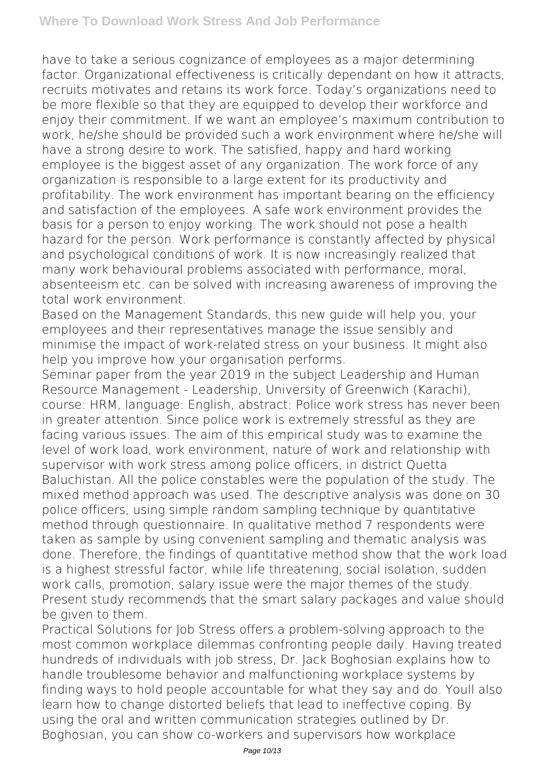have to take a serious cognizance of employees as a major determining factor. Organizational effectiveness is critically dependant on how it attracts, recruits motivates and retains its work force. Today's organizations need to be more flexible so that they are equipped to develop their workforce and enjoy their commitment. If we want an employee's maximum contribution to work, he/she should be provided such a work environment where he/she will have a strong desire to work. The satisfied, happy and hard working employee is the biggest asset of any organization. The work force of any organization is responsible to a large extent for its productivity and profitability. The work environment has important bearing on the efficiency and satisfaction of the employees. A safe work environment provides the basis for a person to enjoy working. The work should not pose a health hazard for the person. Work performance is constantly affected by physical and psychological conditions of work. It is now increasingly realized that many work behavioural problems associated with performance, moral, absenteeism etc. can be solved with increasing awareness of improving the total work environment.

Based on the Management Standards, this new guide will help you, your employees and their representatives manage the issue sensibly and minimise the impact of work-related stress on your business. It might also help you improve how your organisation performs.

Seminar paper from the year 2019 in the subject Leadership and Human Resource Management - Leadership, University of Greenwich (Karachi), course: HRM, language: English, abstract: Police work stress has never been in greater attention. Since police work is extremely stressful as they are facing various issues. The aim of this empirical study was to examine the level of work load, work environment, nature of work and relationship with supervisor with work stress among police officers, in district Quetta Baluchistan. All the police constables were the population of the study. The mixed method approach was used. The descriptive analysis was done on 30 police officers, using simple random sampling technique by quantitative method through questionnaire. In qualitative method 7 respondents were taken as sample by using convenient sampling and thematic analysis was done. Therefore, the findings of quantitative method show that the work load is a highest stressful factor, while life threatening, social isolation, sudden work calls, promotion, salary issue were the major themes of the study. Present study recommends that the smart salary packages and value should be given to them.

Practical Solutions for Job Stress offers a problem-solving approach to the most common workplace dilemmas confronting people daily. Having treated hundreds of individuals with job stress, Dr. Jack Boghosian explains how to handle troublesome behavior and malfunctioning workplace systems by finding ways to hold people accountable for what they say and do. Youll also learn how to change distorted beliefs that lead to ineffective coping. By using the oral and written communication strategies outlined by Dr. Boghosian, you can show co-workers and supervisors how workplace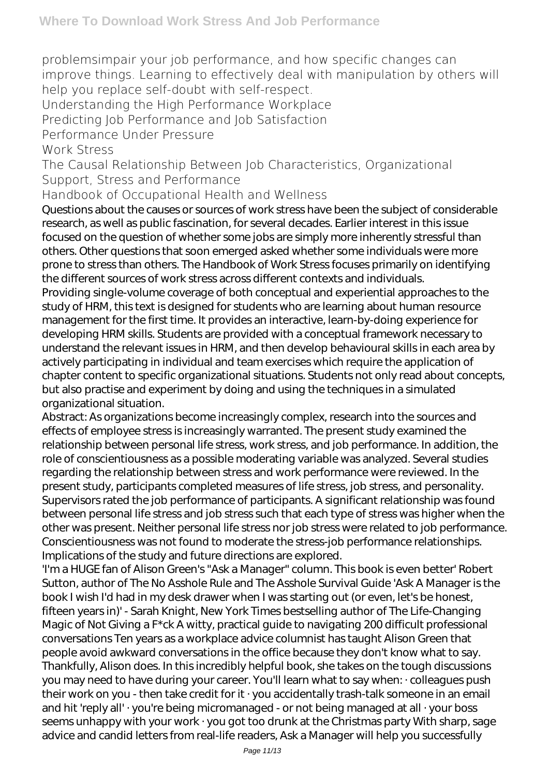problemsimpair your job performance, and how specific changes can improve things. Learning to effectively deal with manipulation by others will help you replace self-doubt with self-respect.

Understanding the High Performance Workplace

Predicting Job Performance and Job Satisfaction

Performance Under Pressure

Work Stress

The Causal Relationship Between Job Characteristics, Organizational Support, Stress and Performance

Handbook of Occupational Health and Wellness

Questions about the causes or sources of work stress have been the subject of considerable research, as well as public fascination, for several decades. Earlier interest in this issue focused on the question of whether some jobs are simply more inherently stressful than others. Other questions that soon emerged asked whether some individuals were more prone to stress than others. The Handbook of Work Stress focuses primarily on identifying the different sources of work stress across different contexts and individuals. Providing single-volume coverage of both conceptual and experiential approaches to the study of HRM, this text is designed for students who are learning about human resource management for the first time. It provides an interactive, learn-by-doing experience for developing HRM skills. Students are provided with a conceptual framework necessary to understand the relevant issues in HRM, and then develop behavioural skills in each area by actively participating in individual and team exercises which require the application of chapter content to specific organizational situations. Students not only read about concepts, but also practise and experiment by doing and using the techniques in a simulated organizational situation.

Abstract: As organizations become increasingly complex, research into the sources and effects of employee stress is increasingly warranted. The present study examined the relationship between personal life stress, work stress, and job performance. In addition, the role of conscientiousness as a possible moderating variable was analyzed. Several studies regarding the relationship between stress and work performance were reviewed. In the present study, participants completed measures of life stress, job stress, and personality. Supervisors rated the job performance of participants. A significant relationship was found between personal life stress and job stress such that each type of stress was higher when the other was present. Neither personal life stress nor job stress were related to job performance. Conscientiousness was not found to moderate the stress-job performance relationships. Implications of the study and future directions are explored.

'I'm a HUGE fan of Alison Green's "Ask a Manager" column. This book is even better' Robert Sutton, author of The No Asshole Rule and The Asshole Survival Guide 'Ask A Manager is the book I wish I'd had in my desk drawer when I was starting out (or even, let's be honest, fifteen years in)' - Sarah Knight, New York Times bestselling author of The Life-Changing Magic of Not Giving a F\*ck A witty, practical guide to navigating 200 difficult professional conversations Ten years as a workplace advice columnist has taught Alison Green that people avoid awkward conversations in the office because they don't know what to say. Thankfully, Alison does. In this incredibly helpful book, she takes on the tough discussions you may need to have during your career. You'll learn what to say when: · colleagues push their work on you - then take credit for it · you accidentally trash-talk someone in an email and hit 'reply all' · you're being micromanaged - or not being managed at all · your boss seems unhappy with your work · you got too drunk at the Christmas party With sharp, sage advice and candid letters from real-life readers, Ask a Manager will help you successfully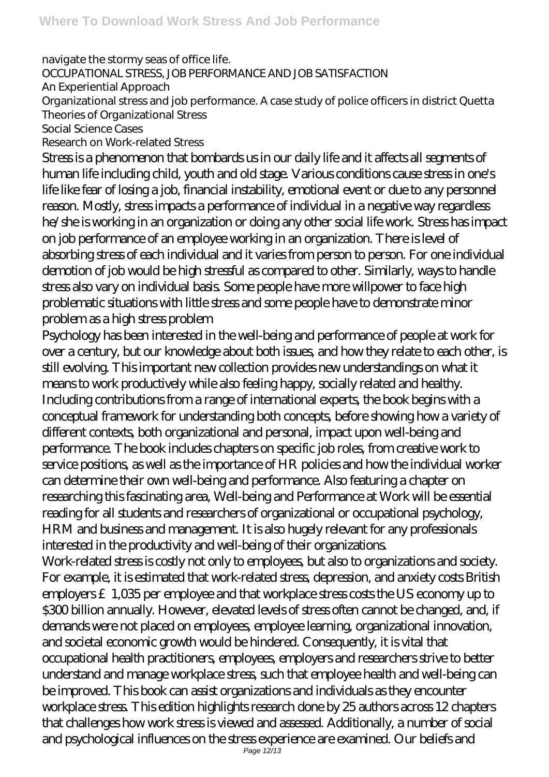navigate the stormy seas of office life. OCCUPATIONAL STRESS, JOB PERFORMANCE AND JOB SATISFACTION An Experiential Approach Organizational stress and job performance. A case study of police officers in district Quetta Theories of Organizational Stress Social Science Cases Research on Work-related Stress

Stress is a phenomenon that bombards us in our daily life and it affects all segments of human life including child, youth and old stage. Various conditions cause stress in one's life like fear of losing a job, financial instability, emotional event or due to any personnel reason. Mostly, stress impacts a performance of individual in a negative way regardless he/she is working in an organization or doing any other social life work. Stress has impact on job performance of an employee working in an organization. There is level of absorbing stress of each individual and it varies from person to person. For one individual demotion of job would be high stressful as compared to other. Similarly, ways to handle stress also vary on individual basis. Some people have more willpower to face high problematic situations with little stress and some people have to demonstrate minor problem as a high stress problem

Psychology has been interested in the well-being and performance of people at work for over a century, but our knowledge about both issues, and how they relate to each other, is still evolving. This important new collection provides new understandings on what it means to work productively while also feeling happy, socially related and healthy. Including contributions from a range of international experts, the book begins with a conceptual framework for understanding both concepts, before showing how a variety of different contexts, both organizational and personal, impact upon well-being and performance. The book includes chapters on specific job roles, from creative work to service positions, as well as the importance of HR policies and how the individual worker can determine their own well-being and performance. Also featuring a chapter on researching this fascinating area, Well-being and Performance at Work will be essential reading for all students and researchers of organizational or occupational psychology, HRM and business and management. It is also hugely relevant for any professionals interested in the productivity and well-being of their organizations.

Work-related stress is costly not only to employees, but also to organizations and society. For example, it is estimated that work-related stress, depression, and anxiety costs British employers £1,035 per employee and that workplace stress costs the US economy up to \$300 billion annually. However, elevated levels of stress often cannot be changed, and, if demands were not placed on employees, employee learning, organizational innovation, and societal economic growth would be hindered. Consequently, it is vital that occupational health practitioners, employees, employers and researchers strive to better understand and manage workplace stress, such that employee health and well-being can be improved. This book can assist organizations and individuals as they encounter workplace stress. This edition highlights research done by 25 authors across 12 chapters that challenges how work stress is viewed and assessed. Additionally, a number of social and psychological influences on the stress experience are examined. Our beliefs and Page 12/13